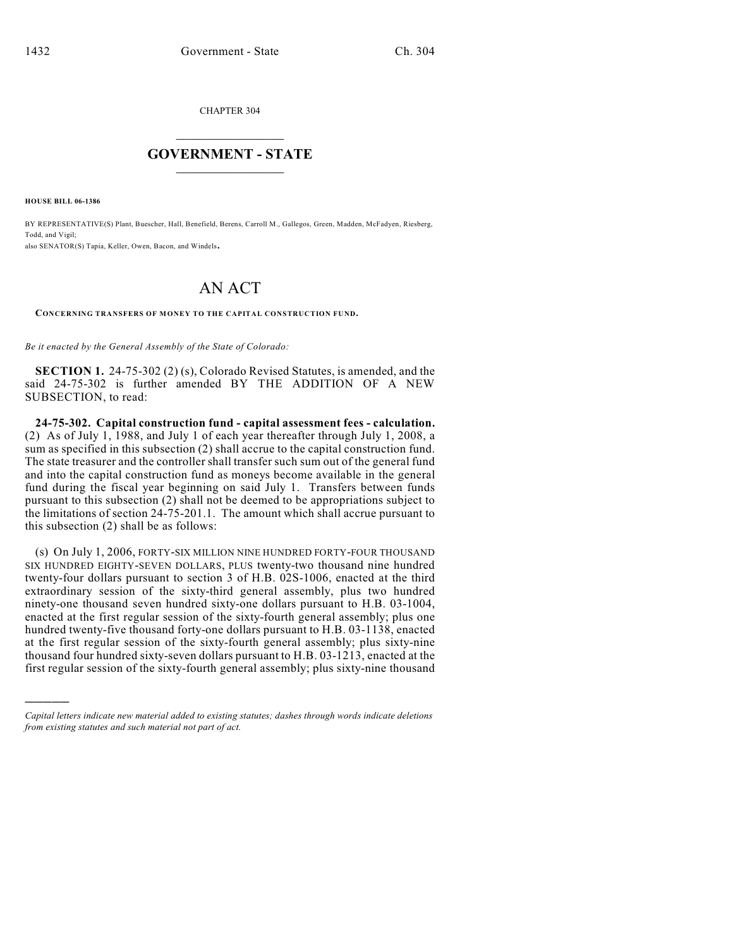CHAPTER 304

## $\overline{\phantom{a}}$  . The set of the set of the set of the set of the set of the set of the set of the set of the set of the set of the set of the set of the set of the set of the set of the set of the set of the set of the set o **GOVERNMENT - STATE**  $\_$

**HOUSE BILL 06-1386**

)))))

BY REPRESENTATIVE(S) Plant, Buescher, Hall, Benefield, Berens, Carroll M., Gallegos, Green, Madden, McFadyen, Riesberg, Todd, and Vigil; also SENATOR(S) Tapia, Keller, Owen, Bacon, and Windels.

## AN ACT

**CONCERNING TRANSFERS OF MONEY TO THE CAPITAL CONSTRUCTION FUND.**

*Be it enacted by the General Assembly of the State of Colorado:*

**SECTION 1.** 24-75-302 (2) (s), Colorado Revised Statutes, is amended, and the said 24-75-302 is further amended BY THE ADDITION OF A NEW SUBSECTION, to read:

**24-75-302. Capital construction fund - capital assessment fees - calculation.** (2) As of July 1, 1988, and July 1 of each year thereafter through July 1, 2008, a sum as specified in this subsection (2) shall accrue to the capital construction fund. The state treasurer and the controller shall transfer such sum out of the general fund and into the capital construction fund as moneys become available in the general fund during the fiscal year beginning on said July 1. Transfers between funds pursuant to this subsection (2) shall not be deemed to be appropriations subject to the limitations of section 24-75-201.1. The amount which shall accrue pursuant to this subsection (2) shall be as follows:

(s) On July 1, 2006, FORTY-SIX MILLION NINE HUNDRED FORTY-FOUR THOUSAND SIX HUNDRED EIGHTY-SEVEN DOLLARS, PLUS twenty-two thousand nine hundred twenty-four dollars pursuant to section 3 of H.B. 02S-1006, enacted at the third extraordinary session of the sixty-third general assembly, plus two hundred ninety-one thousand seven hundred sixty-one dollars pursuant to H.B. 03-1004, enacted at the first regular session of the sixty-fourth general assembly; plus one hundred twenty-five thousand forty-one dollars pursuant to H.B. 03-1138, enacted at the first regular session of the sixty-fourth general assembly; plus sixty-nine thousand four hundred sixty-seven dollars pursuant to H.B. 03-1213, enacted at the first regular session of the sixty-fourth general assembly; plus sixty-nine thousand

*Capital letters indicate new material added to existing statutes; dashes through words indicate deletions from existing statutes and such material not part of act.*